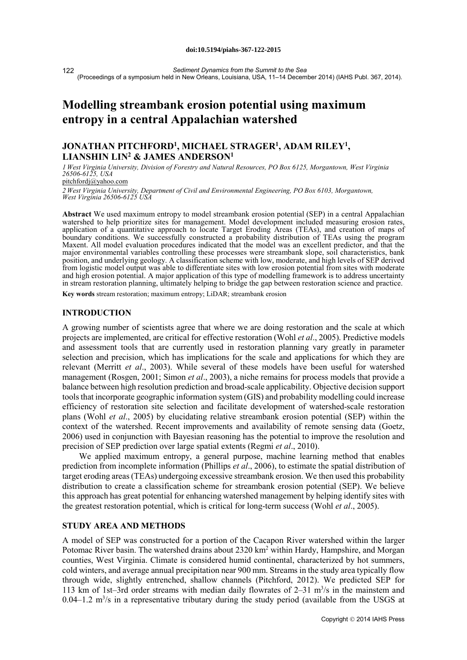*Sediment Dynamics from the Summit to the Sea* (Proceedings of a symposium held in New Orleans, Louisiana, USA, 11–14 December 2014) (IAHS Publ. 367, 2014). 122

# **Modelling streambank erosion potential using maximum entropy in a central Appalachian watershed**

## **JONATHAN PITCHFORD1, MICHAEL STRAGER1, ADAM RILEY1, LIANSHIN LIN2 & JAMES ANDERSON1**

*1 West Virginia University, Division of Forestry and Natural Resources, PO Box 6125, Morgantown, West Virginia 26506-6125, USA* 

pitchfordj@yahoo.com

*2 West Virginia University, Department of Civil and Environmental Engineering, PO Box 6103, Morgantown, West Virginia 26506-6125 USA*

**Abstract** We used maximum entropy to model streambank erosion potential (SEP) in a central Appalachian watershed to help prioritize sites for management. Model development included measuring erosion rates, application of a quantitative approach to locate Target Eroding Areas (TEAs), and creation of maps of boundary conditions. We successfully constructed a probability distribution of TEAs using the program Maxent. All model evaluation procedures indicated that the model was an excellent predictor, and that the major environmental variables controlling these processes were streambank slope, soil characteristics, bank position, and underlying geology. A classification scheme with low, moderate, and high levels of SEP derived from logistic model output was able to differentiate sites with low erosion potential from sites with moderate and high erosion potential. A major application of this type of modelling framework is to address uncertainty in stream restoration planning, ultimately helping to bridge the gap between restoration science and practice.

**Key words** stream restoration; maximum entropy; LiDAR; streambank erosion

#### **INTRODUCTION**

A growing number of scientists agree that where we are doing restoration and the scale at which projects are implemented, are critical for effective restoration (Wohl *et al*., 2005). Predictive models and assessment tools that are currently used in restoration planning vary greatly in parameter selection and precision, which has implications for the scale and applications for which they are relevant (Merritt *et al*., 2003). While several of these models have been useful for watershed management (Rosgen, 2001; Simon *et al*., 2003), a niche remains for process models that provide a balance between high resolution prediction and broad-scale applicability. Objective decision support tools that incorporate geographic information system (GIS) and probability modelling could increase efficiency of restoration site selection and facilitate development of watershed-scale restoration plans (Wohl *et al*., 2005) by elucidating relative streambank erosion potential (SEP) within the context of the watershed. Recent improvements and availability of remote sensing data (Goetz, 2006) used in conjunction with Bayesian reasoning has the potential to improve the resolution and precision of SEP prediction over large spatial extents (Regmi *et al*., 2010).

We applied maximum entropy, a general purpose, machine learning method that enables prediction from incomplete information (Phillips *et al*., 2006), to estimate the spatial distribution of target eroding areas (TEAs) undergoing excessive streambank erosion. We then used this probability distribution to create a classification scheme for streambank erosion potential (SEP). We believe this approach has great potential for enhancing watershed management by helping identify sites with the greatest restoration potential, which is critical for long-term success (Wohl *et al*., 2005).

#### **STUDY AREA AND METHODS**

A model of SEP was constructed for a portion of the Cacapon River watershed within the larger Potomac River basin. The watershed drains about 2320 km<sup>2</sup> within Hardy, Hampshire, and Morgan counties, West Virginia. Climate is considered humid continental, characterized by hot summers, cold winters, and average annual precipitation near 900 mm. Streams in the study area typically flow through wide, slightly entrenched, shallow channels (Pitchford, 2012). We predicted SEP for 113 km of 1st-3rd order streams with median daily flowrates of  $2-31$  m<sup>3</sup>/s in the mainstem and  $0.04-1.2$  m<sup>3</sup>/s in a representative tributary during the study period (available from the USGS at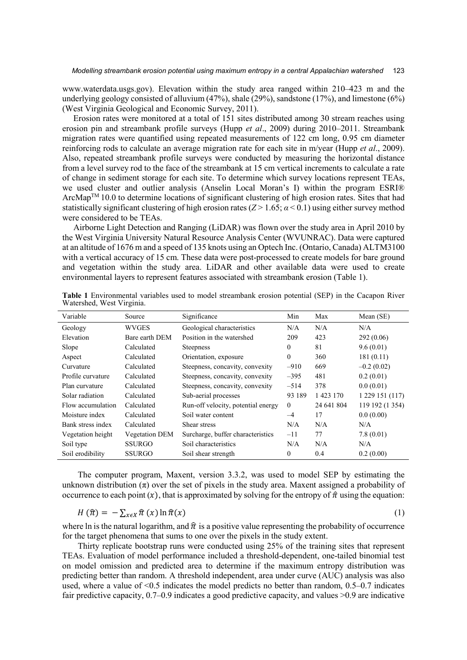www.waterdata.usgs.gov). Elevation within the study area ranged within 210–423 m and the underlying geology consisted of alluvium (47%), shale (29%), sandstone (17%), and limestone (6%) (West Virginia Geological and Economic Survey, 2011).

Erosion rates were monitored at a total of 151 sites distributed among 30 stream reaches using erosion pin and streambank profile surveys (Hupp *et al*., 2009) during 2010–2011. Streambank migration rates were quantified using repeated measurements of 122 cm long, 0.95 cm diameter reinforcing rods to calculate an average migration rate for each site in m/year (Hupp *et al*., 2009). Also, repeated streambank profile surveys were conducted by measuring the horizontal distance from a level survey rod to the face of the streambank at 15 cm vertical increments to calculate a rate of change in sediment storage for each site. To determine which survey locations represent TEAs, we used cluster and outlier analysis (Anselin Local Moran's I) within the program ESRI® ArcMap<sup>TM</sup> 10.0 to determine locations of significant clustering of high erosion rates. Sites that had statistically significant clustering of high erosion rates  $(Z > 1.65; \alpha < 0.1)$  using either survey method were considered to be TEAs.

Airborne Light Detection and Ranging (LiDAR) was flown over the study area in April 2010 by the West Virginia University Natural Resource Analysis Center (WVUNRAC). Data were captured at an altitude of 1676 m and a speed of 135 knots using an Optech Inc. (Ontario, Canada) ALTM3100 with a vertical accuracy of 15 cm. These data were post-processed to create models for bare ground and vegetation within the study area. LiDAR and other available data were used to create environmental layers to represent features associated with streambank erosion (Table 1).

| Variable          | Source                | Significance                                   | Min      | Max        | Mean $(SE)$     |
|-------------------|-----------------------|------------------------------------------------|----------|------------|-----------------|
| Geology           | WVGES                 | Geological characteristics                     | N/A      | N/A        | N/A             |
| Elevation         | Bare earth DEM        | Position in the watershed                      | 209      | 423        | 292(0.06)       |
| Slope             | Calculated            | $\Omega$<br><b>Steepness</b>                   |          | 81         | 9.6(0.01)       |
| Aspect            | Calculated            | Orientation, exposure<br>$\mathbf{0}$          |          | 360        | 181(0.11)       |
| Curvature         | Calculated            | Steepness, concavity, convexity<br>$-910$      |          | 669        | $-0.2(0.02)$    |
| Profile curvature | Calculated            | Steepness, concavity, convexity                | $-395$   | 481        | 0.2(0.01)       |
| Plan curvature    | Calculated            | Steepness, concavity, convexity                | $-514$   | 378        | 0.0(0.01)       |
| Solar radiation   | Calculated            | Sub-aerial processes                           | 93 189   | 1 423 170  | 1 229 151 (117) |
| Flow accumulation | Calculated            | Run-off velocity, potential energy<br>$\theta$ |          | 24 641 804 | 119 192 (1 354) |
| Moisture index    | Calculated            | Soil water content                             | $-4$     | 17         | 0.0(0.00)       |
| Bank stress index | Calculated            | Shear stress                                   | N/A      | N/A        | N/A             |
| Vegetation height | <b>Vegetation DEM</b> | Surcharge, buffer characteristics              | $-11$    | 77         | 7.8(0.01)       |
| Soil type         | <b>SSURGO</b>         | Soil characteristics                           | N/A      | N/A        | N/A             |
| Soil erodibility  | <b>SSURGO</b>         | Soil shear strength                            | $\Omega$ | 0.4        | 0.2(0.00)       |

**Table 1** Environmental variables used to model streambank erosion potential (SEP) in the Cacapon River Watershed, West Virginia.

The computer program, Maxent, version 3.3.2, was used to model SEP by estimating the unknown distribution  $(\pi)$  over the set of pixels in the study area. Maxent assigned a probability of occurrence to each point  $(x)$ , that is approximated by solving for the entropy of  $\hat{\pi}$  using the equation:

$$
H(\hat{\pi}) = -\sum_{x \in X} \hat{\pi}(x) \ln \hat{\pi}(x) \tag{1}
$$

where ln is the natural logarithm, and  $\hat{\pi}$  is a positive value representing the probability of occurrence for the target phenomena that sums to one over the pixels in the study extent.

Thirty replicate bootstrap runs were conducted using 25% of the training sites that represent TEAs. Evaluation of model performance included a threshold-dependent, one-tailed binomial test on model omission and predicted area to determine if the maximum entropy distribution was predicting better than random. A threshold independent, area under curve (AUC) analysis was also used, where a value of <0.5 indicates the model predicts no better than random, 0.5–0.7 indicates fair predictive capacity, 0.7–0.9 indicates a good predictive capacity, and values >0.9 are indicative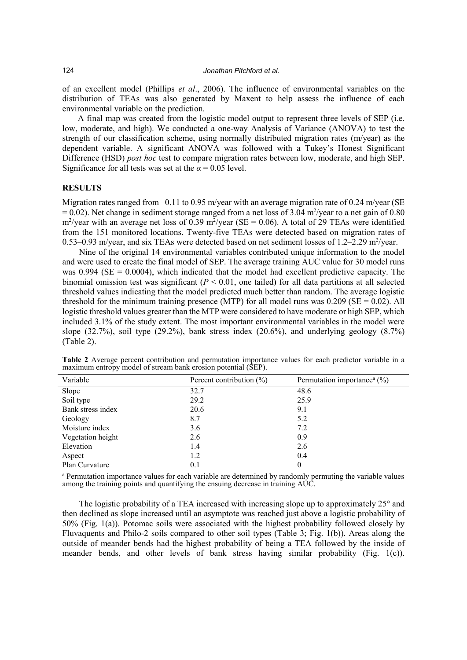of an excellent model (Phillips *et al*., 2006). The influence of environmental variables on the distribution of TEAs was also generated by Maxent to help assess the influence of each environmental variable on the prediction.

A final map was created from the logistic model output to represent three levels of SEP (i.e. low, moderate, and high). We conducted a one-way Analysis of Variance (ANOVA) to test the strength of our classification scheme, using normally distributed migration rates (m/year) as the dependent variable. A significant ANOVA was followed with a Tukey's Honest Significant Difference (HSD) *post hoc* test to compare migration rates between low, moderate, and high SEP. Significance for all tests was set at the  $\alpha$  = 0.05 level.

### **RESULTS**

Migration rates ranged from  $-0.11$  to 0.95 m/year with an average migration rate of 0.24 m/year (SE  $= 0.02$ ). Net change in sediment storage ranged from a net loss of 3.04 m<sup>2</sup>/year to a net gain of 0.80  $\rm m^2$ /year with an average net loss of 0.39 m<sup>2</sup>/year (SE = 0.06). A total of 29 TEAs were identified from the 151 monitored locations. Twenty-five TEAs were detected based on migration rates of 0.53–0.93 m/year, and six TEAs were detected based on net sediment losses of  $1.2-2.29$  m<sup>2</sup>/year.

Nine of the original 14 environmental variables contributed unique information to the model and were used to create the final model of SEP. The average training AUC value for 30 model runs was  $0.994$  (SE = 0.0004), which indicated that the model had excellent predictive capacity. The binomial omission test was significant  $(P < 0.01$ , one tailed) for all data partitions at all selected threshold values indicating that the model predicted much better than random. The average logistic threshold for the minimum training presence (MTP) for all model runs was  $0.209$  (SE = 0.02). All logistic threshold values greater than the MTP were considered to have moderate or high SEP, which included 3.1% of the study extent. The most important environmental variables in the model were slope  $(32.7\%)$ , soil type  $(29.2\%)$ , bank stress index  $(20.6\%)$ , and underlying geology  $(8.7\%)$ (Table 2).

| Variable          | Percent contribution $(\% )$ | Permutation importance <sup>a</sup> $(\%)$ |
|-------------------|------------------------------|--------------------------------------------|
| Slope             | 32.7                         | 48.6                                       |
| Soil type         | 29.2                         | 25.9                                       |
| Bank stress index | 20.6                         | 9.1                                        |
| Geology           | 8.7                          | 5.2                                        |
| Moisture index    | 3.6                          | 7.2                                        |
| Vegetation height | 2.6                          | 0.9                                        |
| Elevation         | 1.4                          | 2.6                                        |
| Aspect            | 1.2                          | 0.4                                        |
| Plan Curvature    | 0.1                          | $\theta$                                   |

**Table 2** Average percent contribution and permutation importance values for each predictor variable in a maximum entropy model of stream bank erosion potential (SEP).

<sup>a</sup> Permutation importance values for each variable are determined by randomly permuting the variable values among the training points and quantifying the ensuing decrease in training AUC.

The logistic probability of a TEA increased with increasing slope up to approximately 25° and then declined as slope increased until an asymptote was reached just above a logistic probability of 50% (Fig. 1(a)). Potomac soils were associated with the highest probability followed closely by Fluvaquents and Philo-2 soils compared to other soil types (Table 3; Fig. 1(b)). Areas along the outside of meander bends had the highest probability of being a TEA followed by the inside of meander bends, and other levels of bank stress having similar probability (Fig. 1(c)).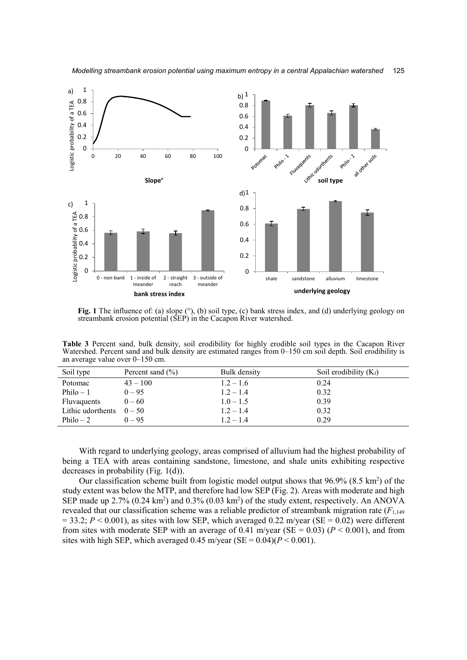

**Fig. 1** The influence of: (a) slope (°), (b) soil type, (c) bank stress index, and (d) underlying geology on streambank erosion potential (SEP) in the Cacapon River watershed.

**Table 3** Percent sand, bulk density, soil erodibility for highly erodible soil types in the Cacapon River Watershed. Percent sand and bulk density are estimated ranges from 0–150 cm soil depth. Soil erodibility is an average value over 0–150 cm.

| Soil type          | Percent sand $(\% )$ | Bulk density | Soil erodibility $(K_f)$ |
|--------------------|----------------------|--------------|--------------------------|
| Potomac            | $43 - 100$           | $1.2 - 1.6$  | 0.24                     |
| Philo $-1$         | $0 - 95$             | $1.2 - 1.4$  | 0.32                     |
| <b>Fluvaquents</b> | $0 - 60$             | $1.0 - 1.5$  | 0.39                     |
| Lithic udorthents  | $0 - 50$             | $1.2 - 1.4$  | 0.32                     |
| Philo $-2$         | $0 - 95$             | $1.2 - 1.4$  | 0.29                     |

With regard to underlying geology, areas comprised of alluvium had the highest probability of being a TEA with areas containing sandstone, limestone, and shale units exhibiting respective decreases in probability (Fig. 1(d)).

Our classification scheme built from logistic model output shows that  $96.9\%$  (8.5 km<sup>2</sup>) of the study extent was below the MTP, and therefore had low SEP (Fig. 2). Areas with moderate and high SEP made up  $2.7\%$  (0.24 km<sup>2</sup>) and 0.3% (0.03 km<sup>2</sup>) of the study extent, respectively. An ANOVA revealed that our classification scheme was a reliable predictor of streambank migration rate (*F*1,149  $= 33.2$ ;  $P \le 0.001$ ), as sites with low SEP, which averaged 0.22 m/year (SE = 0.02) were different from sites with moderate SEP with an average of 0.41 m/year (SE = 0.03) ( $P < 0.001$ ), and from sites with high SEP, which averaged  $0.45$  m/year (SE =  $0.04$ )( $P < 0.001$ ).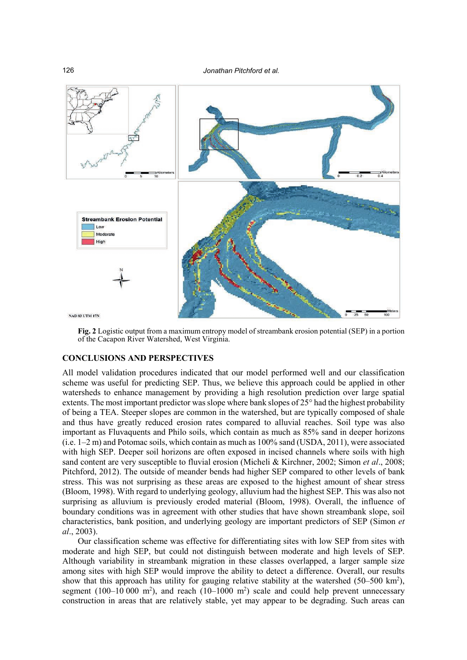

**Fig. 2** Logistic output from a maximum entropy model of streambank erosion potential (SEP) in a portion of the Cacapon River Watershed, West Virginia.

#### **CONCLUSIONS AND PERSPECTIVES**

All model validation procedures indicated that our model performed well and our classification scheme was useful for predicting SEP. Thus, we believe this approach could be applied in other watersheds to enhance management by providing a high resolution prediction over large spatial extents. The most important predictor was slope where bank slopes of 25° had the highest probability of being a TEA. Steeper slopes are common in the watershed, but are typically composed of shale and thus have greatly reduced erosion rates compared to alluvial reaches. Soil type was also important as Fluvaquents and Philo soils, which contain as much as 85% sand in deeper horizons (i.e. 1–2 m) and Potomac soils, which contain as much as 100% sand (USDA, 2011), were associated with high SEP. Deeper soil horizons are often exposed in incised channels where soils with high sand content are very susceptible to fluvial erosion (Micheli & Kirchner, 2002; Simon *et al*., 2008; Pitchford, 2012). The outside of meander bends had higher SEP compared to other levels of bank stress. This was not surprising as these areas are exposed to the highest amount of shear stress (Bloom, 1998). With regard to underlying geology, alluvium had the highest SEP. This was also not surprising as alluvium is previously eroded material (Bloom, 1998). Overall, the influence of boundary conditions was in agreement with other studies that have shown streambank slope, soil characteristics, bank position, and underlying geology are important predictors of SEP (Simon *et al*., 2003).

Our classification scheme was effective for differentiating sites with low SEP from sites with moderate and high SEP, but could not distinguish between moderate and high levels of SEP. Although variability in streambank migration in these classes overlapped, a larger sample size among sites with high SEP would improve the ability to detect a difference. Overall, our results show that this approach has utility for gauging relative stability at the watershed  $(50-500 \text{ km}^2)$ , segment  $(100-10000 \text{ m}^2)$ , and reach  $(10-1000 \text{ m}^2)$  scale and could help prevent unnecessary construction in areas that are relatively stable, yet may appear to be degrading. Such areas can